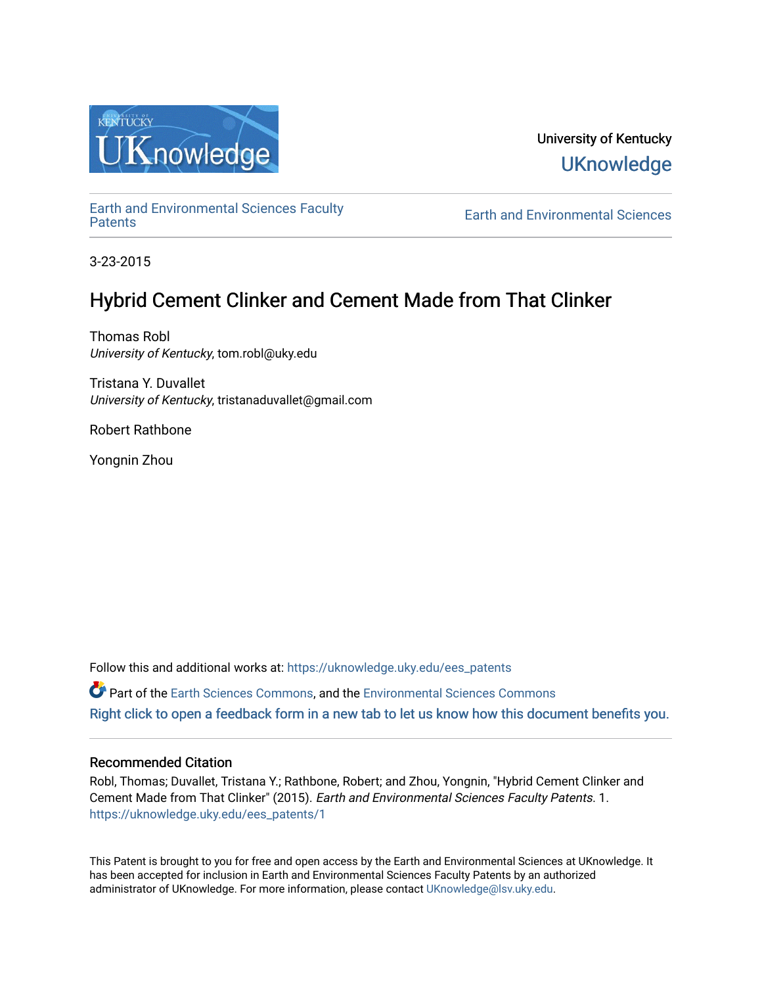

University of Kentucky **UKnowledge** 

[Earth and Environmental Sciences Faculty](https://uknowledge.uky.edu/ees_patents)

**Earth and Environmental Sciences** 

3-23-2015

# Hybrid Cement Clinker and Cement Made from That Clinker

Thomas Robl University of Kentucky, tom.robl@uky.edu

Tristana Y. Duvallet University of Kentucky, tristanaduvallet@gmail.com

Robert Rathbone

Yongnin Zhou

Follow this and additional works at: [https://uknowledge.uky.edu/ees\\_patents](https://uknowledge.uky.edu/ees_patents?utm_source=uknowledge.uky.edu%2Fees_patents%2F1&utm_medium=PDF&utm_campaign=PDFCoverPages) Part of the [Earth Sciences Commons,](http://network.bepress.com/hgg/discipline/153?utm_source=uknowledge.uky.edu%2Fees_patents%2F1&utm_medium=PDF&utm_campaign=PDFCoverPages) and the [Environmental Sciences Commons](http://network.bepress.com/hgg/discipline/167?utm_source=uknowledge.uky.edu%2Fees_patents%2F1&utm_medium=PDF&utm_campaign=PDFCoverPages)  [Right click to open a feedback form in a new tab to let us know how this document benefits you.](https://uky.az1.qualtrics.com/jfe/form/SV_9mq8fx2GnONRfz7)

## Recommended Citation

Robl, Thomas; Duvallet, Tristana Y.; Rathbone, Robert; and Zhou, Yongnin, "Hybrid Cement Clinker and Cement Made from That Clinker" (2015). Earth and Environmental Sciences Faculty Patents. 1. [https://uknowledge.uky.edu/ees\\_patents/1](https://uknowledge.uky.edu/ees_patents/1?utm_source=uknowledge.uky.edu%2Fees_patents%2F1&utm_medium=PDF&utm_campaign=PDFCoverPages)

This Patent is brought to you for free and open access by the Earth and Environmental Sciences at UKnowledge. It has been accepted for inclusion in Earth and Environmental Sciences Faculty Patents by an authorized administrator of UKnowledge. For more information, please contact [UKnowledge@lsv.uky.edu](mailto:UKnowledge@lsv.uky.edu).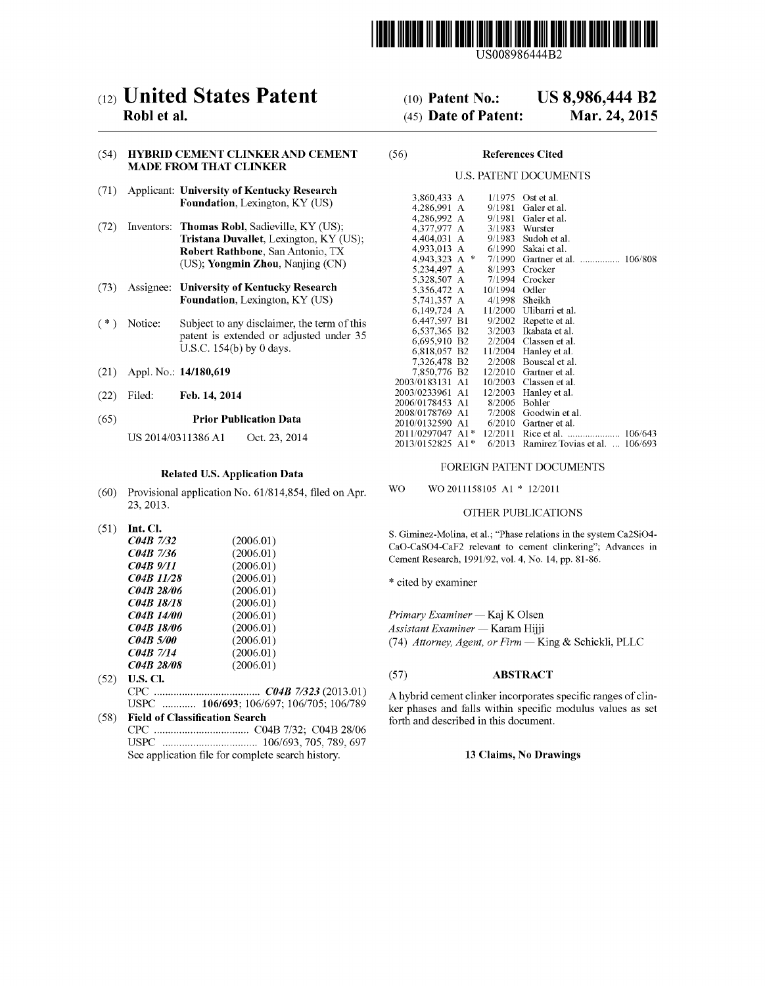

US008986444B2

# c12) **United States Patent**

## **Robl et al.**

## (54) **HYBRID CEMENT CLINKER AND CEMENT MADE FROM THAT CLINKER**

- (71) Applicant: **University of Kentucky Research Foundation,** Lexington, KY (US)
- (72) Inventors: **Thomas Robl,** Sadieville, KY (US); **Tristana Duvallet,** Lexington, KY (US); **Robert Rathbone,** San Antonio, TX (US); **Yongmin Zhou,** Nanjing (CN)
- (73) Assignee: **University of Kentucky Research Foundation,** Lexington, KY (US)
- ( \*) Notice: Subject to any disclaimer, the term of this patent is extended or adjusted under 35 U.S.C. 154(b) by 0 days.
- (21) Appl. No.: **14/180,619**
- (22) Filed: **Feb.14,2014**

#### (65) **Prior Publication Data**

US 2014/0311386Al Oct. 23, 2014

## **Related U.S. Application Data**

- (60) Provisional application No. 61/814,854, filed on Apr. 23,2013.
- (51) **Int. Cl.**

| (2006.01) |
|-----------|
| (2006.01) |
| (2006.01) |
| (2006.01) |
| (2006.01) |
| (2006.01) |
| (2006.01) |
| (2006.01) |
| (2006.01) |
| (2006.01) |
| (2006.01) |
|           |

- (52) **U.S. Cl.**  CPC ...................................... *C04B 71323* (2013.01) USPC ............ **106/693;** 106/697; 106/705; 106/789
- (58) **Field of Classification Search**  CPC .................................. C04B 7/32; C04B 28/06 USPC .................................. 106/693, 705, 789, 697 See application file for complete search history.

#### (10) **Patent No.: US 8,986,444 B2**

#### (45) **Date of Patent: Mar.24,2015**

#### (56) **References Cited**

#### U.S. PATENT DOCUMENTS

| 3,860,433 A      |       | 1/1975  | Ost et al.                       |
|------------------|-------|---------|----------------------------------|
| 4,286,991 A      |       | 9/1981  | Galer et al.                     |
| 4,286,992 A      |       | 9/1981  | Galer et al.                     |
| 4,377,977 A      |       | 3/1983  | Wurster                          |
| 4,404,031 A      |       | 9/1983  | Sudoh et al.                     |
| 4,933,013 A      |       | 6/1990  | Sakai et al.                     |
| 4,943,323 A      | 永     | 7/1990  | 106/808<br>Gartner et al.<br>.   |
| 5,234,497 A      |       | 8/1993  | Crocker                          |
| 5,328,507 A      |       | 7/1994  | Crocker                          |
| 5,356,472 A      |       | 10/1994 | Odler                            |
| 5,741,357 A      |       | 4/1998  | Sheikh                           |
| 6,149,724 A      |       | 11/2000 | Ulibarri et al.                  |
| 6,447,597 B1     |       | 9/2002  | Repette et al.                   |
| 6,537,365 B2     |       | 3/2003  | Ikabata et al.                   |
| 6,695,910 B2     |       | 2/2004  | Classen et al.                   |
| 6,818,057 B2     |       | 11/2004 | Hanley et al.                    |
| 7,326,478 B2     |       | 2/2008  | Bouscal et al.                   |
| 7,850,776 B2     |       | 12/2010 | Gartner et al.                   |
| 2003/0183131 A1  |       | 10/2003 | Classen et al.                   |
| 2003/0233961     | A1    | 12/2003 | Hanley et al.                    |
| 2006/0178453     | - A1  | 8/2006  | Bohler                           |
| 2008/0178769 .   | Al    | 7/2008  | Goodwin et al.                   |
| 2010/0132590     | A1    | 6/2010  | Gartner et al.                   |
| 2011/0297047     | $A1*$ | 12/2011 | 106/643<br>Rice et al.           |
| 2013/0152825 A1* |       | 6/2013  | Ramirez Tovias et al.<br>106/693 |

#### FOREIGN PATENT DOCUMENTS

wo W02011158105 A1 \* 12/2011

## OTHER PUBLICATIONS

S. Giminez-Molina, eta!.; "Phase relations in the system Ca2Si04- CaO-CaS04-CaF2 relevant to cement clinkering"; Advances in Cement Research, 1991/92, vol. 4, No. 14, pp. 81-86.

\* cited by examiner

*Primary Examiner-* Kaj K Olsen *Assistant Examiner-* Karam Hijji (74) *Attorney, Agent, or Firm-* King & Schickli, PLLC

### (57) **ABSTRACT**

A hybrid cement clinker incorporates specific ranges of clinker phases and falls within specific modulus values as set forth and described in this document.

### **13 Claims, No Drawings**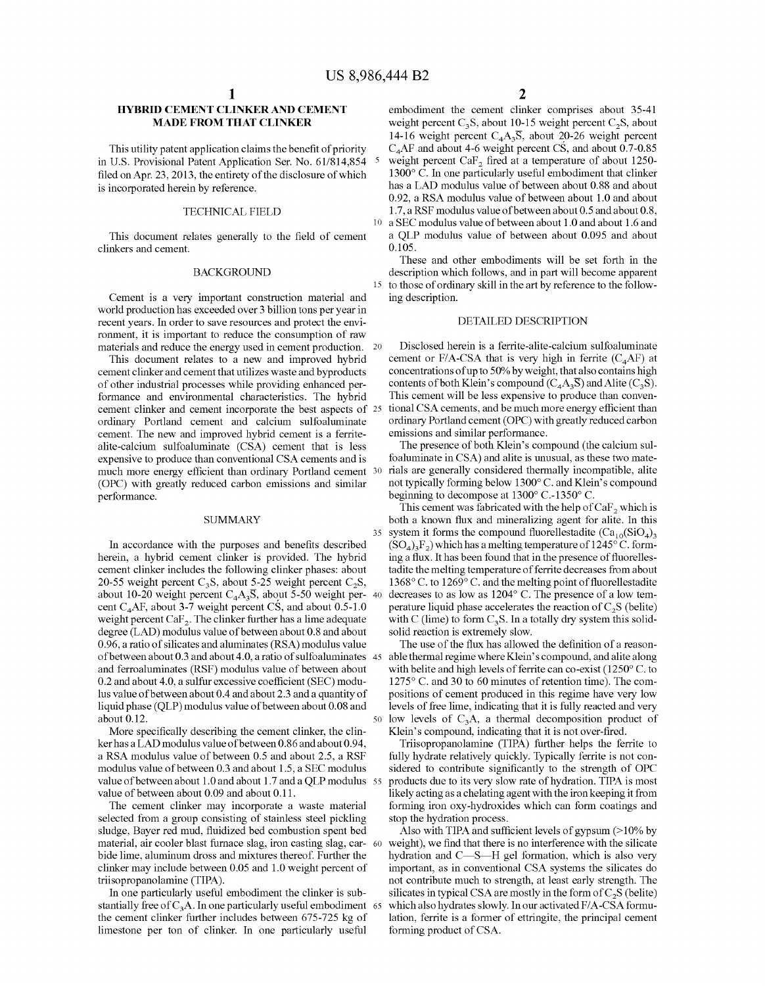## **HYBRID CEMENT CLINKER AND CEMENT MADE FROM THAT CLINKER**

This utility patent application claims the benefit of priority in U.S. Provisional Patent Application Ser. No. 61/814,854 5 filed on Apr. 23, 2013, the entirety of the disclosure of which is incorporated herein by reference.

#### TECHNICAL FIELD

This document relates generally to the field of cement clinkers and cement.

#### BACKGROUND

Cement is a very important construction material and ing description. world production has exceeded over 3 billion tons per year in recent years. In order to save resources and protect the environment, it is important to reduce the consumption of raw materials and reduce the energy used in cement production. 20

This document relates to a new and improved hybrid cement clinker and cement that utilizes waste and byproducts of other industrial processes while providing enhanced performance and environmental characteristics. The hybrid cement clinker and cement incorporate the best aspects of 25 ordinary Portland cement and calcium sulfoaluminate cement. The new and improved hybrid cement is a ferritealite-calcium sulfoaluminate (CSA) cement that is less expensive to produce than conventional CSA cements and is much more energy efficient than ordinary Portland cement 30 (OPC) with greatly reduced carbon emissions and similar performance.

#### **SUMMARY**

In accordance with the purposes and benefits described herein, a hybrid cement clinker is provided. The hybrid cement clinker includes the following clinker phases: about 20-55 weight percent  $C_3S$ , about 5-25 weight percent  $C_2S$ , about 10-20 weight percent  $C_4A_3\overline{S}$ , about 5-50 weight per- 40 cent C<sub>4</sub>AF, about 3-7 weight percent CS, and about 0.5-1.0 weight percent  $\text{CaF}_2$ . The clinker further has a lime adequate degree (LAD) modulus value of between about 0.8 and about 0.96, a ratio of silicates and aluminates (RSA) modulus value of between about 0.3 and about 4.0, a ratio of sulfoaluminates 45 able thermal regime where Klein's compound, and alite along and ferroaluminates (RSF) modulus value of between about 0.2 and about 4.0, a sulfur excessive coefficient (SEC) modulus value of between about 0.4 and about 2.3 and a quantity of liquid phase (QLP) modulus value of between about 0.08 and about 0.12.

More specifically describing the cement clinker, the clinker has a LAD modulus value of between 0.86 and about 0.94, a RSA modulus value of between 0.5 and about 2.5, a RSF modulus value of between 0.3 and about 1.5, a SEC modulus value of between about 1.0 and about 1.7 and a QLP modulus 55 value of between about 0.09 and about 0.11.

The cement clinker may incorporate a waste material selected from a group consisting of stainless steel pickling sludge, Bayer red mud, fluidized bed combustion spent bed material, air cooler blast furnace slag, iron casting slag, carbide lime, aluminum dross and mixtures thereof. Further the clinker may include between 0.05 and 1.0 weight percent of triisopropanolamine (TIPA).

In one particularly useful embodiment the clinker is substantially free of  $C_3A$ . In one particularly useful embodiment 65 the cement clinker further includes between 675-725 kg of limestone per ton of clinker. In one particularly useful

embodiment the cement clinker comprises about 35-41 weight percent  $C_3S$ , about 10-15 weight percent  $C_2S$ , about 14-16 weight percent  $C_4A_3S$ , about 20-26 weight percent  $C_4$ AF and about 4-6 weight percent CS, and about 0.7-0.85 weight percent CaF<sub>2</sub> fired at a temperature of about 1250- $1300^{\circ}$  C. In one particularly useful embodiment that clinker has a LAD modulus value of between about 0.88 and about 0.92, a RSA modulus value of between about 1.0 and about 1.7, a RSF modulus value of between about 0.5 and about 0.8, 10 a SEC modulus value of between about 1.0 and about 1.6 and

a QLP modulus value of between about 0.095 and about 0.105.

These and other embodiments will be set forth in the description which follows, and in part will become apparent 15 to those of ordinary skill in the art by reference to the follow-

#### DETAILED DESCRIPTION

Disclosed herein is a ferrite-alite-calcium sulfoaluminate cement or F/A-CSA that is very high in ferrite  $(C_4AF)$  at concentrations of up to 50% by weight, that also contains high contents of both Klein's compound  $(C_4A_3\overline{S})$  and Alite  $(C_3S)$ . This cement will be less expensive to produce than conventional CSA cements, and be much more energy efficient than ordinary Portland cement (OPC) with greatly reduced carbon emissions and similar performance.

The presence of both Klein's compound (the calcium sulfoaluminate in CSA) and alite is unusual, as these two materials are generally considered thermally incompatible, alite not typically forming below 1300° C. and Klein's compound beginning to decompose at 1300° C.-1350° C.

This cement was fabricated with the help of  $CaF<sub>2</sub>$  which is both a known flux and mineralizing agent for alite. In this 35 system it forms the compound fluorellestadite  $(Ca_{10}(SiO<sub>4</sub>)$ <sub>3</sub>  $(SO_4)_3F_2$ ) which has a melting temperature of 1245° C. forming a flux. It has been found that in the presence of fluorellestadite the melting temperature of ferrite decreases from about 1368 $\degree$  C. to 1269 $\degree$  C. and the melting point of fluorellestadite decreases to as low as  $1204^{\circ}$  C. The presence of a low temperature liquid phase accelerates the reaction of  $C_2S$  (belite) with C (lime) to form  $C_3S$ . In a totally dry system this solidsolid reaction is extremely slow.

The use of the flux has allowed the definition of a reasonwith belite and high levels of ferrite can co-exist  $(1250^{\circ} \text{ C.})$  to 1275° C. and 30 to 60 minutes of retention time). The compositions of cement produced in this regime have very low levels of free lime, indicating that it is fully reacted and very low levels of  $C_3A$ , a thermal decomposition product of Klein's compound, indicating that it is not over-fired.

Triisopropanolamine (TIPA) further helps the ferrite to fully hydrate relatively quickly. Typically ferrite is not considered to contribute significantly to the strength of OPC products due to its very slow rate of hydration. TIPA is most likely acting as a chelating agent with the iron keeping it from forming iron oxy-hydroxides which can form coatings and stop the hydration process.

Also with TIPA and sufficient levels of gypsum  $($ >10% by weight), we find that there is no interference with the silicate hydration and C-S-H gel formation, which is also very important, as in conventional CSA systems the silicates do not contribute much to strength, at least early strength. The silicates in typical CSA are mostly in the form of  $C_2$ S (be lite) which also hydrates slowly. In our activated F/A-CSA formulation, ferrite is a former of ettringite, the principal cement forming product of CSA.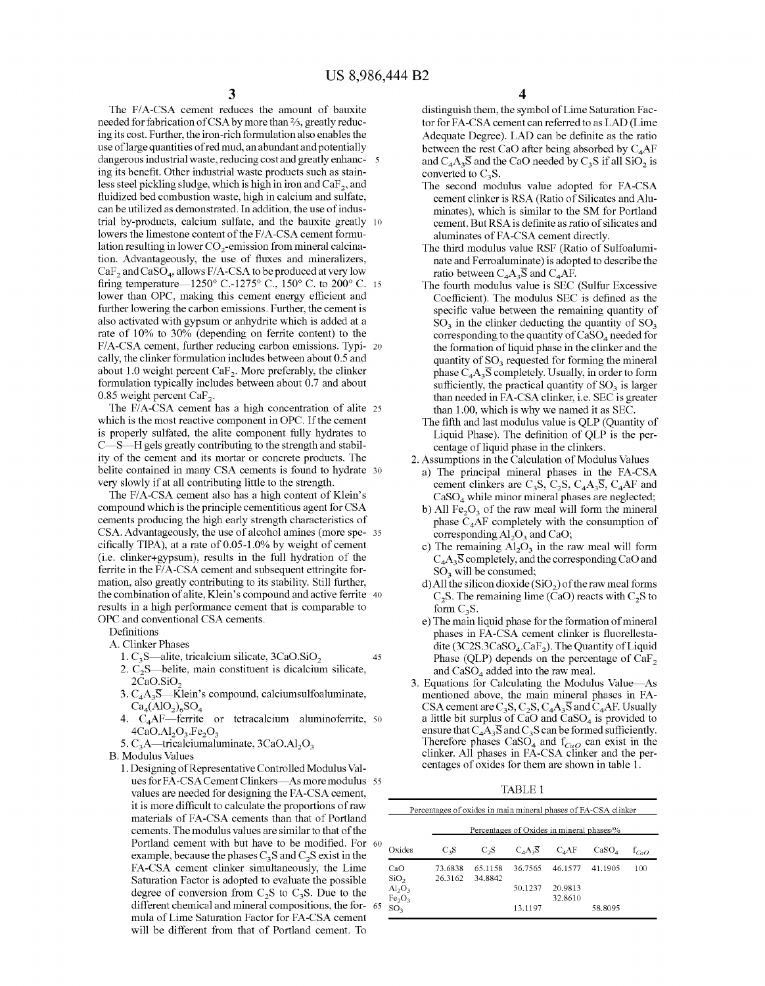The F/A-CSA cement reduces the amount of bauxite needed for fabrication of CSA by more than  $\frac{2}{3}$ , greatly reducing its cost. Further, the iron-rich formulation also enables the use oflarge quantities of red mud, an abundant and potentially dangerous industrial waste, reducing cost and greatly enhanc- 5 ing its benefit. Other industrial waste products such as stainless steel pickling sludge, which is high in iron and  $CaF<sub>2</sub>$ , and fluidized bed combustion waste, high in calcium and sulfate, can be utilized as demonstrated. In addition, the use of industrial by-products, calcium sulfate, and the bauxite greatly 10 lowers the limestone content of the F/A-CSA cement formulation resulting in lower  $CO<sub>2</sub>$ -emission from mineral calcination. Advantageously, the use of fluxes and mineralizers,  $CaF<sub>2</sub>$  and  $CaSO<sub>4</sub>$ , allows F/A-CSA to be produced at very low firing temperature—1250° C.-1275° C., 150° C. to 200° C. 15 lower than OPC, making this cement energy efficient and further lowering the carbon emissions. Further, the cement is also activated with gypsum or anhydrite which is added at a rate of 10% to 30% (depending on ferrite content) to the F/A-CSA cement, further reducing carbon emissions. Typi- 20 cally, the clinker formulation includes between about 0.5 and about 1.0 weight percent  $\text{CaF}_2$ . More preferably, the clinker formulation typically includes between about 0.7 and about 0.85 weight percent CaF<sub>2</sub>.

The F/A-CSA cement has a high concentration of alite 25 which is the most reactive component in OPC. If the cement is properly sulfated, the alite component fully hydrates to C-S-H gels greatly contributing to the strength and stability of the cement and its mortar or concrete products. The belite contained in many CSA cements is found to hydrate 30 very slowly if at all contributing little to the strength.

The F/A-CSA cement also has a high content of Klein's compound which is the principle cementitious agent for CSA cements producing the high early strength characteristics of CSA. Advantageously, the use of alcohol amines (more spe- <sup>35</sup> cifically TIPA), at a rate of 0.05-1.0% by weight of cement (i.e. clinker+gypsum), results in the full hydration of the ferrite in the F/A-CSA cement and subsequent ettringite formation, also greatly contributing to its stability. Still further, the combination of alite, Klein's compound and active ferrite 40 results in a high performance cement that is comparable to OPC and conventional CSA cements.

Definitions

A. Clinker Phases

- 1.  $C_3S$ —alite, tricalcium silicate,  $3CaO.SiO<sub>2</sub>$  45
- 2.  $C_2S$ —belite, main constituent is dicalcium silicate,  $2CaO.SiO<sub>2</sub>$
- 3.  $C_4A_3\overline{S}$ —Klein's compound, calciumsulfoaluminate,  $Ca_4(AIO_2)_6SO_4$
- 4. C<sub>4</sub>AF-ferrite or tetracalcium aluminoferrite, 50  $4CaO.AI<sub>2</sub>O<sub>3</sub>.Fe<sub>2</sub>O<sub>3</sub>$
- 5.  $C_3A$ —tricalciumaluminate, 3CaO.Al<sub>2</sub>O<sub>3</sub>

B. Modulus Values

1. Designing of Representative Controlled Modulus Values for FA-CSA Cement Clinkers-As more modulus 55 values are needed for designing the FA-CSA cement, it is more difficult to calculate the proportions of raw materials of FA-CSA cements than that of Portland cements. The modulus values are similar to that of the Portland cement with but have to be modified. For 60 example, because the phases  $C_3S$  and  $C_2S$  exist in the FA-CSA cement clinker simultaneously, the Lime Saturation Factor is adopted to evaluate the possible degree of conversion from  $C_2S$  to  $C_3S$ . Due to the different chemical and mineral compositions, the formula of Lime Saturation Factor for FA-CSA cement will be different from that of Portland cement. To 65

distinguish them, the symbol of Lime Saturation Factor for FA -CSA cement can referred to as LAD (Lime Adequate Degree). LAD can be definite as the ratio between the rest CaO after being absorbed by  $C_4AF$ and  $C_4A_3\overline{S}$  and the CaO needed by  $C_3S$  if all SiO<sub>2</sub> is converted to  $C_3 S$ .

- The second modulus value adopted for FA-CSA cement clinker is RSA (Ratio of Silicates and Aluminates ), which is similar to the SM for Portland cement. But RSA is definite as ratio of silicates and aluminates of FA-CSA cement directly.
- The third modulus value RSF (Ratio of Sulfoaluminate and Ferroaluminate) is adopted to describe the ratio between  $C_4A_3\overline{S}$  and  $C_4AF$ .
- The fourth modulus value is SEC (Sulfur Excessive Coefficient). The modulus SEC is defined as the specific value between the remaining quantity of  $SO<sub>3</sub>$  in the clinker deducting the quantity of  $SO<sub>3</sub>$ corresponding to the quantity of  $CaSO<sub>4</sub>$  needed for the formation of liquid phase in the clinker and the quantity of  $SO<sub>3</sub>$  requested for forming the mineral phase  $C_4A_3\overline{S}$  completely. Usually, in order to form sufficiently, the practical quantity of  $SO<sub>3</sub>$  is larger than needed in FA-CSA clinker, i.e. SEC is greater than 1.00, which is why we named it as SEC.
- The fifth and last modulus value is QLP (Quantity of Liquid Phase). The definition of QLP is the percentage of liquid phase in the clinkers.
- 2. Assumptions in the Calculation of Modulus Values
	- a) The principal mineral phases in the FA-CSA cement clinkers are C<sub>3</sub>S, C<sub>2</sub>S, C<sub>4</sub>A<sub>3</sub>S, C<sub>4</sub>AF and CaS04 while minor mineral phases are neglected;
	- b) All  $Fe<sub>2</sub>O<sub>3</sub>$  of the raw meal will form the mineral phase  $C_4$ AF completely with the consumption of corresponding  $\text{Al}_2\text{O}_3$  and CaO;
	- c) The remaining  $Al<sub>2</sub>O<sub>3</sub>$  in the raw meal will form  $C_4A_3\overline{S}$  completely, and the corresponding CaO and  $SO<sub>3</sub>$  will be consumed;
	- d) All the silicon dioxide  $(SiO<sub>2</sub>)$  of the raw meal forms  $C_2S$ . The remaining lime (CaO) reacts with  $C_2S$  to form  $C_3S$ .
	- e) The main liquid phase for the formation of mineral phases in FA-CSA cement clinker is fluorellestadite (3C2S.3CaSO<sub>4</sub>.CaF<sub>2</sub>). The Quantity of Liquid Phase (QLP) depends on the percentage of  $CaF<sub>2</sub>$ and  $CaSO<sub>4</sub>$  added into the raw meal.
- 3. Equations for Calculating the Modulus Value-As mentioned above, the main mineral phases in FA-CSA cement are  $C_3S$ ,  $C_2S$ ,  $C_4A_3\overline{S}$  and  $C_4AF$ . Usually a little bit surplus of CaO and CaS04 is provided to ensure that  $C_4A_3\overline{S}$  and  $C_3S$  can be formed sufficiently. Therefore phases  $CaSO_4$  and  $f_{CaO}$  can exist in the clinker. All phases in FA-CSA clinker and the percentages of oxides for them are shown in table 1.

TABLE 1

|                                                           | Percentages of oxides in main mineral phases of FA-CSA clinker |                                           |                        |                    |                   |           |  |  |  |  |  |  |
|-----------------------------------------------------------|----------------------------------------------------------------|-------------------------------------------|------------------------|--------------------|-------------------|-----------|--|--|--|--|--|--|
|                                                           |                                                                | Percentages of Oxides in mineral phases/% |                        |                    |                   |           |  |  |  |  |  |  |
| Oxides                                                    | $C_3S$                                                         | $C_2S$                                    | $C_A A_3 \overline{S}$ | $C_AAF$            | CaSO <sub>4</sub> | $f_{CaO}$ |  |  |  |  |  |  |
| CaO<br>SiO <sub>2</sub>                                   | 73.6838<br>26.3162                                             | 65.1158<br>34.8842                        | 36.7565                | 46.1577            | 41.1905           | 100       |  |  |  |  |  |  |
| $\text{Al}_2\text{O}_3$<br>Fe <sub>2</sub> O <sub>3</sub> |                                                                |                                           | 50.1237                | 20.9813<br>32.8610 |                   |           |  |  |  |  |  |  |
| SO <sub>3</sub>                                           |                                                                |                                           | 13.1197                |                    | 58.8095           |           |  |  |  |  |  |  |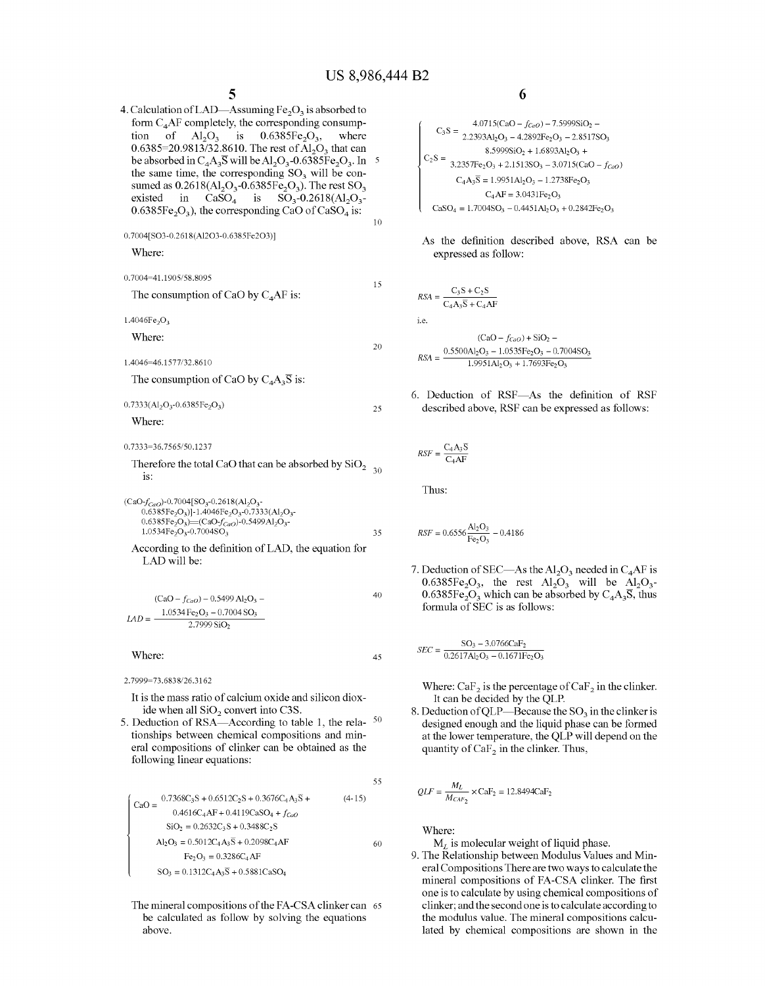4. Calculation of LAD—Assuming  $Fe<sub>2</sub>O<sub>3</sub>$  is absorbed to form  $C_4$ AF completely, the corresponding consump-<br>tion of  $Al_2O_3$  is 0.6385Fe<sub>2</sub>O<sub>3</sub>, where tion of  $Al_2O_3$  is 0.6385=20.9813/32.8610. The rest of  $Al_2O_3$  that can be absorbed in  $C_4A_3\overline{S}$  will be Al<sub>2</sub>O<sub>3</sub>-0.6385Fe<sub>2</sub>O<sub>3</sub>. In 5 the same time, the corresponding  $SO<sub>3</sub>$  will be consumed as  $0.2618 \times (Al_2O_3 - 0.6385 \overline{Fe}_2O_3)$ . The rest  $SO_3$ existed in  $CaSO_4$  is  $SO_3$ -0.2618(Al<sub>2</sub>O<sub>3</sub>- $0.6385Fe<sub>2</sub>O<sub>3</sub>$ ), the corresponding CaO of CaSO<sub>4</sub> is: 10

0. 7004[S03-0.2618(Al203-0.6385Fe203)]

Where:

0.7004~41.1905/58.8095 The consumption of CaO by  $C_4$ AF is:  $1.4046Fe<sub>2</sub>O<sub>3</sub>$ Where: 1.4046~46.1577/32.8610 The consumption of CaO by  $C_4A_3\overline{S}$  is:  $0.7333(Al<sub>2</sub>O<sub>3</sub> - 0.6385Fe<sub>2</sub>O<sub>3</sub>)$ Where: 15 20 25

0. 7333~ 36.7 565/50.123 7

Therefore the total CaO that can be absorbed by  $SiO<sub>2</sub>$  <sub>30</sub> is:

\n (CaO-
$$
f_{GaO}
$$
)-0.7004[SO<sub>3</sub>-0.2618(Al<sub>2</sub>O<sub>3</sub>)-0.6385Fe<sub>2</sub>O<sub>3</sub>)]-1.4046Fe<sub>2</sub>O<sub>3</sub>-0.7333(Al<sub>2</sub>O<sub>3</sub>)-0.6385Fe<sub>2</sub>O<sub>3</sub>)—(CaO- $f_{GaO}$ )-0.5499Al<sub>2</sub>O<sub>3</sub>-1.0534Fe<sub>2</sub>O<sub>3</sub>-0.7004SO<sub>3</sub>\n

\n\n 1.0534Fe<sub>2</sub>O<sub>3</sub>-0.7004SO<sub>3</sub>\n

\n\n 35\n

\n\n According to the definition of LAD, the equation for LAD will be:\n

$$
(CaO - f_{CaO}) - 0.5499 A I_2 O_3 - 40
$$
  

$$
LAD = \frac{1.0534 Fe_2 O_3 - 0.7004 S O_3}{2.7999 S i O_2}
$$

Where:

2.7999~73.6838/26.3162

It is the mass ratio of calcium oxide and silicon dioxide when all SiO<sub>2</sub> convert into C3S.

5. Deduction of RSA—According to table 1, the rela- $50$ tionships between chemical compositions and mineral compositions of clinker can be obtained as the following linear equations:

$$
\begin{cases}\n\text{CaO} = \frac{0.7368\text{Cs}}{0.4616\text{Ca}} = \frac{0.7368\text{Cs}}{0.4616\text{Ca}} = 0.4616\text{Ca} + 0.4119\text{Ca} + 0.4119\text{Ca} + 0.4119\text{Ca} + 0.4119\text{Ca} + 0.4119\text{Ca} + 0.4119\text{Ca} + 0.4119\text{Ca} + 0.4119\text{Ca} + 0.4119\text{Ca} + 0.4119\text{Ca} + 0.4119\text{Ca} + 0.4119\text{Ca} + 0.4119\text{Ca} + 0.4119\text{Ca} + 0.4119\text{Ca} + 0.4119\text{Ca} + 0.4119\text{Ca} + 0.4119\text{Ca} + 0.4119\text{Ca} + 0.4119\text{Ca} + 0.4119\text{Ca} + 0.4119\text{Ca} + 0.4119\text{Ca} + 0.4119\text{Ca} + 0.4119\text{Ca} + 0.4119\text{Ca} + 0.4119\text{Ca} + 0.4119\text{Ca} + 0.4119\text{Ca} + 0.4119\text{Ca} + 0.4119\text{Ca} + 0.4119\text{Ca} + 0.4119\text{Ca} + 0.4119\text{Ca} + 0.4119\text{Ca} + 0.4119\text{Ca} + 0.4119\text{Ca} + 0.4119\text{Ca} + 0.4119\text{Ca} + 0.4119\text{Ca} + 0.4119\text{Ca} + 0.4119\text{Ca} + 0.4119\text{Ca} + 0.4119\text{Ca} + 0.4119\text{Ca} + 0.4119\text{Ca} + 0.4119\text{Ca} + 0.4119\text{Ca} + 0.4119\text{Ca} + 0.4119\text{Ca} + 0.4119\text{Ca} + 0.4119\text{Ca} + 0.4
$$

The mineral compositions of the FA-CSA clinker can 65 be calculated as follow by solving the equations above.

**6** 

$$
C_3S = \frac{4.0715(CaO - f_{CoO}) - 7.5999SiO_2 - 2.2393Al_2O_3 - 4.2892Fe_2O_3 - 2.8517SO_3}{8.5999SiO_2 + 1.6893Al_2O_3 + 2.1513SO_3 - 3.0715(CaO - f_{CoO})}
$$
  
\n
$$
C_2S = \frac{3.2357Fe_2O_3 + 2.1513SO_3 - 3.0715(CaO - f_{CoO})}{C_4AS_3 = 1.9951Al_2O_3 - 1.2738Fe_2O_3}
$$
  
\n
$$
C_4AF = 3.0431Fe_2O_3
$$
  
\n
$$
C_3SO_4 = 1.7004SO_3 - 0.4451Al_2O_3 + 0.2842Fe_2O_3
$$

As the definition described above, RSA can be expressed as follow:

$$
RSA = \frac{C_3S + C_2S}{C_4A_3\overline{S} + C_4AF}
$$
  
i.e. 
$$
(CaO - f_{CaO}) + SiO_2 -
$$

$$
RSA = \frac{0.5500AI_2O_3 - 1.0535Fe_2O_3 - 0.7004SO_3}{1.9951AI_2O_3 + 1.7693Fe_2O_3}
$$

6. Deduction of RSF-As the definition of RSF described above, RSF can be expressed as follows:

$$
RSF = \frac{C_4 A_3 \overline{S}}{C_4 AF}
$$

Thus:

45

55

$$
RSF = 0.6556 \frac{\text{Al}_2\text{O}_3}{\text{Fe}_2\text{O}_3} - 0.4186
$$

7. Deduction of SEC—As the  $A1_2O_3$  needed in C<sub>4</sub>AF is  $0.6385Fe<sub>2</sub>O<sub>3</sub>$ , the rest  $Al<sub>2</sub>O<sub>3</sub>$  will be  $Al<sub>2</sub>O<sub>3</sub>$ - $0.6385Fe<sub>2</sub>O<sub>3</sub>$  which can be absorbed by  $C<sub>4</sub>A<sub>3</sub>S$ , thus formula of SEC is as follows:

$$
SEC = \frac{SO_3 - 3.0766CaF_2}{0.2617Al_2O_3 - 0.1671Fe_2O_3}
$$

Where: CaF<sub>2</sub> is the percentage of CaF<sub>2</sub> in the clinker. It can be decided by the QLP.

8. Deduction of QLP—Because the  $SO<sub>3</sub>$  in the clinker is designed enough and the liquid phase can be formed at the lower temperature, the QLP will depend on the quantity of  $CaF<sub>2</sub>$  in the clinker. Thus,

$$
QLF = \frac{M_L}{M_{CaF_2}} \times \text{CaF}_2 = 12.8494 \text{CaF}_2
$$

Where:

*M<sub>L</sub>* is molecular weight of liquid phase.

9. The Relationship between Modulus Values and Mineral Compositions There are two ways to calculate the mineral compositions of FA-CSA clinker. The first one is to calculate by using chemical compositions of clinker; and the second one is to calculate according to the modulus value. The mineral compositions calculated by chemical compositions are shown in the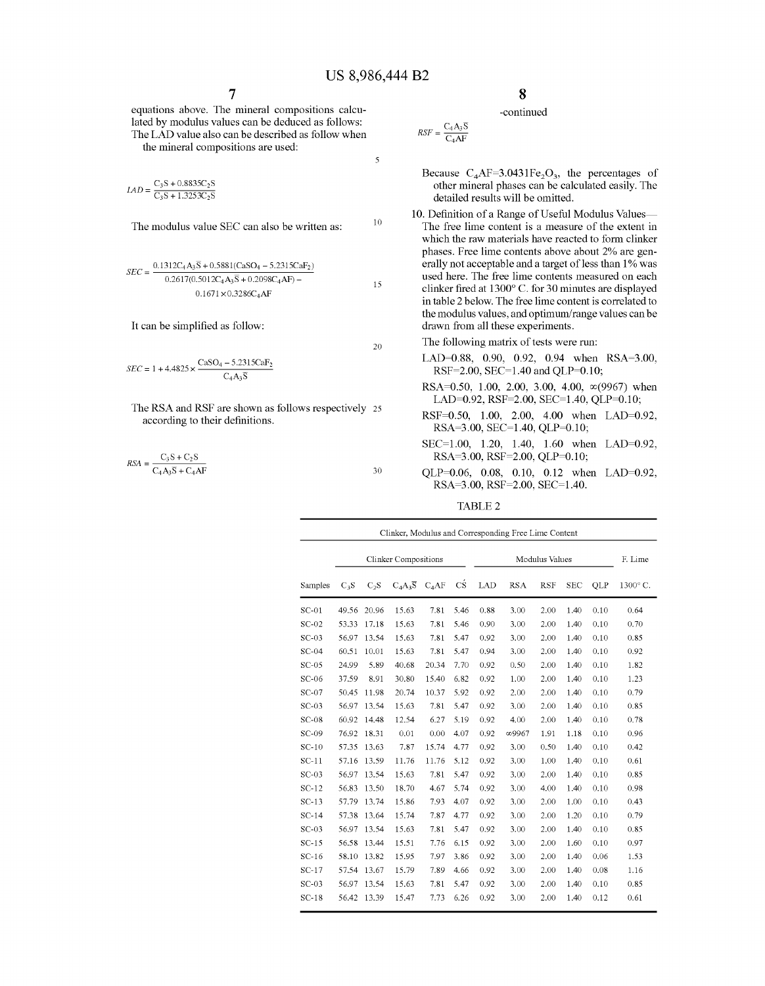$\overline{\mathbf{5}}$ 

15

equations above. The mineral compositions calculated by modulus values can be deduced as follows: The LAD value also can be described as follow when the mineral compositions are used:

 $C_3S + 0.8835C_2S$  $\overline{C_3S+1.3253C_2S}$ 

The modulus value SEC can also be written as:  $10$ 

$$
SEC = \frac{0.1312C_4A_3\overline{S} + 0.5881(CaSO_4 - 5.2315CaF_2)}{0.2617(0.5012C_4A_3\overline{S} + 0.2098C_4AF) - 0.1671 \times 0.3286C_4AF}
$$

It can be simplified as follow:

$$
SEC = 1 + 4.4825 \times \frac{CaSO_4 - 5.2315CaF_2}{C_4A_3\overline{S}}
$$

- The RSA and RSF are shown as follows respectively 25 according to their definitions.
- $R_{\text{SFA}} = \frac{C_3 S + C_2 S}{2}$  $C_4A_3S + C_4AF$  30

#### -continued

$$
RSF = \frac{C_4 A_3 \overline{S}}{C_4 AF}
$$

Because  $C_4AF=3.0431Fe<sub>2</sub>O<sub>3</sub>$ , the percentages of other mineral phases can be calculated easily. The detailed results will be omitted.

10. Definition of a Range of Useful Modulus Values-The free lime content is a measure of the extent in which the raw materials have reacted to form clinker phases. Free lime contents above about 2% are generally not acceptable and a target of less than 1% was used here. The free lime contents measured on each clinker fired at 1300° C. for 30 minutes are displayed in table 2 below. The free lime content is correlated to the modulus values, and optimum/range values can be drawn from all these experiments.

 $_{20}$  The following matrix of tests were run:

- LAD=0.88, 0.90, 0.92, 0.94 when RSA=3.00, RSF=2.00, SEC=1.40 and QLP=0.10;
- RSA=0.50, 1.00, 2.00, 3.00, 4.00,  $\infty$ (9967) when LAD=0.92, RSF=2.00, SEC=1.40, QLP=0.10;
- RSF=0.50, 1.00, 2.00, 4.00 when LAD=0.92, RSA=3.00, SEC=1.40, QLP=0.10;
- SEC=l.OO, 1.20, 1.40, 1.60 when LAD=0.92, RSA=3.00, RSF=2.00, QLP=0.10;
- QLP=0.06, 0.08, 0.10, 0.12 when LAD=0.92, RSA=3.00, RSF=2.00, SEC=1.40.

TABLE<sub>2</sub>

|         | Clinker, Modulus and Corresponding Free Lime Content |                  |                      |         |      |      |                       |            |            |      |         |  |
|---------|------------------------------------------------------|------------------|----------------------|---------|------|------|-----------------------|------------|------------|------|---------|--|
|         | <b>Clinker Compositions</b>                          |                  |                      |         |      |      | <b>Modulus Values</b> |            |            |      | F. Lime |  |
| Samples | $C_3S$                                               | C <sub>2</sub> S | $C_4A_3\overline{S}$ | $C_4AF$ | СŚ   | LAD  | <b>RSA</b>            | <b>RSF</b> | <b>SEC</b> | QLP  | 1300°C. |  |
| $SC-01$ | 49.56                                                | 20.96            | 15.63                | 7.81    | 5.46 | 0.88 | 3.00                  | 2.00       | 1.40       | 0.10 | 0.64    |  |
| $SC-02$ | 53.33                                                | 17.18            | 15.63                | 7.81    | 5.46 | 0.90 | 3.00                  | 2.00       | 1.40       | 0.10 | 0.70    |  |
| $SC-03$ | 56.97                                                | 13.54            | 15.63                | 781     | 5.47 | 0.92 | 3.00                  | 2.00       | 1.40       | 0.10 | 0.85    |  |
| $SC-04$ | 60.51                                                | 10.01            | 15.63                | 7.81    | 5.47 | 0.94 | 3.00                  | 2.00       | 1.40       | 0.10 | 0.92    |  |
| $SC-05$ | 24.99                                                | 5.89             | 40.68                | 20.34   | 7.70 | 0.92 | 0.50                  | 2.00       | 1.40       | 0.10 | 1.82    |  |
| $SC-06$ | 37.59                                                | 8.91             | 30.80                | 15.40   | 6.82 | 0.92 | 1.00                  | 2.00       | 1.40       | 0.10 | 1.23    |  |
| $SC-07$ | 50.45                                                | 11.98            | 20.74                | 10.37   | 5.92 | 0.92 | 2.00                  | 2.00       | 1.40       | 0.10 | 0.79    |  |
| $SC-03$ | 56.97                                                | 13.54            | 15.63                | 7.81    | 5.47 | 0.92 | 3.00                  | 2.00       | 1.40       | 0.10 | 0.85    |  |
| $SC-08$ | 60.92                                                | 14.48            | 12.54                | 6.27    | 5.19 | 0.92 | 4.00                  | 2.00       | 1.40       | 0.10 | 0.78    |  |
| $SC-09$ | 76.92                                                | 18.31            | 0.01                 | 0.00    | 4.07 | 0.92 | $\infty$ 9967         | 1.91       | 1.18       | 0.10 | 0.96    |  |
| $SC-10$ | 57.35                                                | 13.63            | 7.87                 | 15.74   | 4.77 | 0.92 | 3.00                  | 0.50       | 1.40       | 0.10 | 0.42    |  |
| $SC-11$ | 57.16                                                | 13.59            | 11.76                | 11.76   | 5.12 | 0.92 | 3.00                  | 1.00       | 1.40       | 0.10 | 0.61    |  |
| $SC-03$ | 56.97                                                | 13.54            | 15.63                | 7.81    | 5.47 | 0.92 | 3.00                  | 2.00       | 1.40       | 0.10 | 0.85    |  |
| $SC-12$ | 56.83                                                | 13.50            | 18.70                | 4.67    | 5.74 | 0.92 | 3.00                  | 4.00       | 1.40       | 0.10 | 0.98    |  |
| $SC-13$ | 57.79                                                | 13.74            | 15.86                | 7.93    | 4.07 | 0.92 | 3.00                  | 2.00       | 1.00       | 0.10 | 0.43    |  |
| $SC-14$ | 57.38                                                | 13.64            | 15.74                | 7.87    | 4.77 | 0.92 | 3.00                  | 2.00       | 1.20       | 0.10 | 0.79    |  |
| $SC-03$ | 56.97                                                | 13.54            | 15.63                | 7.81    | 5.47 | 0.92 | 3.00                  | 2.00       | 1.40       | 0.10 | 0.85    |  |
| $SC-15$ | 56.58                                                | 13.44            | 15.51                | 7.76    | 6.15 | 0.92 | 3.00                  | 2.00       | 1.60       | 0.10 | 0.97    |  |
| $SC-16$ | 58.10                                                | 13.82            | 15.95                | 7.97    | 3.86 | 0.92 | 3.00                  | 2.00       | 1.40       | 0.06 | 1.53    |  |
| $SC-17$ | 57.54                                                | 13.67            | 15.79                | 7.89    | 4.66 | 0.92 | 3.00                  | 2.00       | 1.40       | 0.08 | 1.16    |  |
| $SC-03$ | 56.97                                                | 13.54            | 15.63                | 7.81    | 5.47 | 0.92 | 3.00                  | 2.00       | 1.40       | 0.10 | 0.85    |  |
| $SC-18$ | 56.42                                                | 13.39            | 15.47                | 7.73    | 6.26 | 0.92 | 3.00                  | 2.00       | 1.40       | 0.12 | 0.61    |  |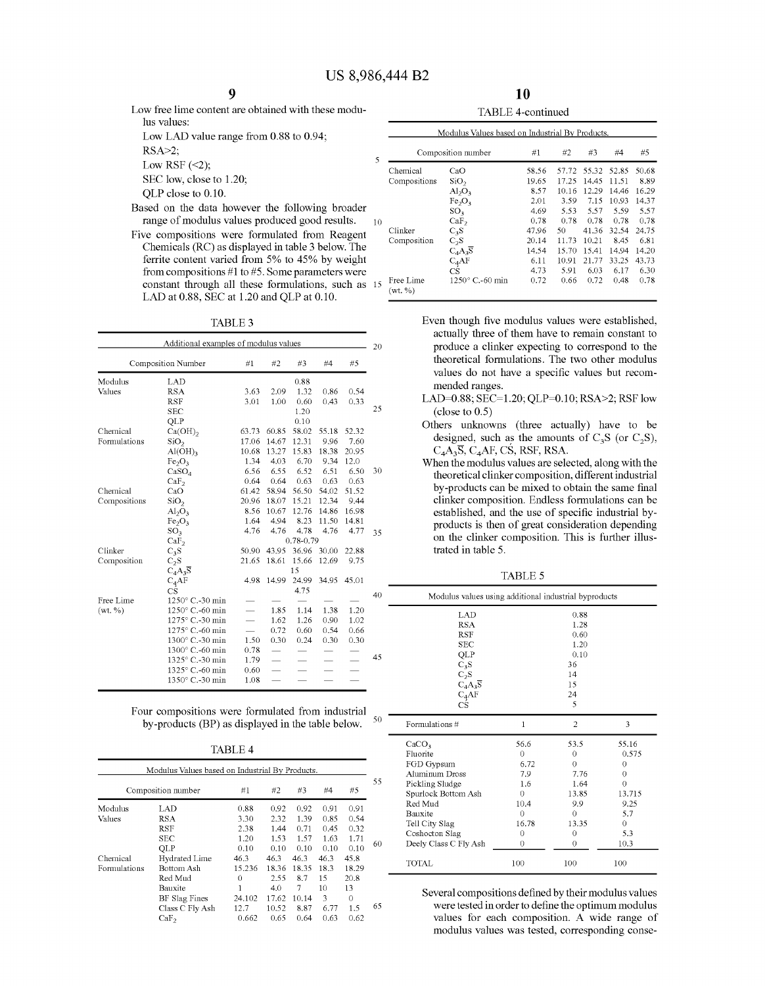Low free lime content are obtained with these modulus values: Low LAD value range from 0.88 to 0.94; RSA>2;

Low RSF  $(\leq 2)$ ;

SEC low, close to 1.20; QLP close to 0.10.

- Based on the data however the following broader range of modulus values produced good results. 10
- Five compositions were formulated from Reagent Chemicals (RC) as displayed in table 3 below. The ferrite content varied from 5% to 45% by weight from compositions #1 to #5. Some parameters were constant through all these formulations, such as  $15 \frac{Free \, Line}{(net \, M)}$ LAD at 0.88, SEC at 1.20 and QLP at 0.10.

TABLE3

|              | Additional examples of modulus values |       |       |           |       |       |
|--------------|---------------------------------------|-------|-------|-----------|-------|-------|
|              | Composition Number                    | #1    | #2    | #3        | #4    | #5    |
| Modulus      | LAD                                   |       |       | 0.88      |       |       |
| Values       | <b>RSA</b>                            | 3.63  | 2.09  | 1.32      | 0.86  | 0.54  |
|              | <b>RSF</b>                            | 3.01  | 1.00  | 0.60      | 0.43  | 0.33  |
|              | SEC                                   |       |       | 1.20      |       |       |
|              | QLP                                   |       |       | 0.10      |       |       |
| Chemical     | $Ca(OH)_{2}$                          | 63.73 | 60.85 | 58.02     | 55.18 | 52.32 |
| Formulations | SiO <sub>2</sub>                      | 17.06 | 14.67 | 12.31     | 9.96  | 7.60  |
|              | Al(OH)                                | 10.68 | 13.27 | 15.83     | 18.38 | 20.95 |
|              | Fe <sub>2</sub> O <sub>3</sub>        | 1.34  | 4.03  | 6.70      | 9.34  | 12.0  |
|              | CaSO <sub>4</sub>                     | 6.56  | 6.55  | 6.52      | 6.51  | 6.50  |
|              | CaF <sub>2</sub>                      | 0.64  | 0.64  | 0.63      | 0.63  | 0.63  |
| Chemical     | CaO                                   | 61.42 | 58.94 | 56.50     | 54.02 | 51.52 |
| Compositions | SiO <sub>2</sub>                      | 20.96 | 18.07 | 15.21     | 12.34 | 9.44  |
|              | $\mathrm{Al}_2\mathrm{O}_3$           | 8.56  | 10.67 | 12.76     | 14.86 | 16.98 |
|              | Fe <sub>2</sub> O <sub>3</sub>        | 1.64  | 4.94  | 8.23      | 11.50 | 14.81 |
|              | SO <sub>3</sub>                       | 4.76  | 4.76  | 4.78      | 4.76  | 4.77  |
|              | CaF <sub>2</sub>                      |       |       | 0.78-0.79 |       |       |
| Clinker      | $C_3S$                                | 50.90 | 43.95 | 36.96     | 30.00 | 22.88 |
| Composition  | $C_2S$                                | 21.65 | 18.61 | 15.66     | 12.69 | 9.75  |
|              | $C_4A_3\overline{S}$                  |       |       | 15        |       |       |
|              | $C_4AF$                               | 4.98  | 14.99 | 24.99     | 34.95 | 45 01 |
|              | CS                                    |       |       | 4.75      |       |       |
| Free Lime    | 1250° C.-30 min                       |       |       |           |       |       |
| (wt. % )     | 1250° C.-60 min                       |       | 1.85  | 1.14      | 1.38  | 1.20  |
|              | 1275° C.-30 min                       |       | 1.62  | 1.26      | 0.90  | 1.02  |
|              | 1275° C.-60 min                       |       | 0.72  | 0.60      | 0.54  | 0.66  |
|              | 1300° C.-30 min                       | 1.50  | 0.30  | 0.24      | 0.30  | 0.30  |
|              | 1300° C.-60 min                       | 0.78  |       |           |       |       |
|              | 1325° C.-30 min                       | 1.79  |       |           |       |       |
|              | 1325° C.-60 min                       | 0.60  |       |           |       |       |
|              | 1350° C.-30 min                       | 1.08  |       |           |       |       |
|              |                                       |       |       |           |       |       |

| Four compositions were formulated from industrial |    |
|---------------------------------------------------|----|
| by-products (BP) as displayed in the table below. | 50 |

TABLE4

|              | Composition number | #1       | #2    | #3    | #4   | #5    |
|--------------|--------------------|----------|-------|-------|------|-------|
| Modulus      | LAD                | 0.88     | 0.92  | 0.92  | 0.91 | 0.91  |
| Values       | <b>RSA</b>         | 3.30     | 2.32  | 1.39  | 0.85 | 0.54  |
|              | <b>RSF</b>         | 2.38     | 1.44  | 0.71  | 0.45 | 0.32  |
|              | <b>SEC</b>         | 1.20     | 1.53  | 1.57  | 1.63 | 1.71  |
|              | QLP                | 0.10     | 0.10  | 0.10  | 0.10 | 0.10  |
| Chemical     | Hydrated Lime      | 46.3     | 46.3  | 46.3  | 46.3 | 45.8  |
| Formulations | Bottom Ash         | 15.236   | 18.36 | 18.35 | 18.3 | 18.29 |
|              | Red Mud            | $\Omega$ | 2.55  | 8.7   | 15   | 20.8  |
|              | Bauxite            |          | 4.0   | 7     | 10   | 13    |
|              | BF Slag Fines      | 24.102   | 17.62 | 10.14 | 3    | 0     |
|              | Class C Fly Ash    | 12.7     | 10.52 | 8.87  | 6.77 | 1.5   |
|              | CaF <sub>2</sub>   | 0.662    | 0.65  | 0.64  | 0.63 | 0.62  |

10

|                      | TABLE 4-continued<br>Modulus Values based on Industrial By Products. |       |       |       |       |       |  |  |  |  |  |  |
|----------------------|----------------------------------------------------------------------|-------|-------|-------|-------|-------|--|--|--|--|--|--|
|                      |                                                                      |       |       |       |       |       |  |  |  |  |  |  |
|                      | Composition number                                                   | #1    | #2.   | #3    | #4    | #5    |  |  |  |  |  |  |
| Chemical             | CaO                                                                  | 58.56 | 57.72 | 55.32 | 52.85 | 50.68 |  |  |  |  |  |  |
| Compositions         | SiO <sub>2</sub>                                                     | 19.65 | 17.25 | 14.45 | 11.51 | 8.89  |  |  |  |  |  |  |
|                      | $Al_2O_3$                                                            | 8.57  | 10.16 | 12.29 | 14.46 | 16.29 |  |  |  |  |  |  |
|                      | Fe <sub>2</sub> O <sub>3</sub>                                       | 2.01  | 3.59  | 7.15  | 10.93 | 14.37 |  |  |  |  |  |  |
|                      | SO <sub>3</sub>                                                      | 4.69  | 5.53  | 5.57  | 5.59  | 5.57  |  |  |  |  |  |  |
|                      | CaF <sub>2</sub>                                                     | 0.78  | 0.78  | 0.78  | 0.78  | 0.78  |  |  |  |  |  |  |
| Clinker              | $C_3S$                                                               | 47.96 | 50    | 41.36 | 32.54 | 24.75 |  |  |  |  |  |  |
| Composition          | $C_2S$                                                               | 20.14 | 11.73 | 10.21 | 8.45  | 6.81  |  |  |  |  |  |  |
|                      | $C_4A_3\overline{S}$                                                 | 14.54 | 15.70 | 15.41 | 14.94 | 14.20 |  |  |  |  |  |  |
|                      | $C_4AF$                                                              | 6.11  | 10.91 | 21.77 | 33.25 | 43.73 |  |  |  |  |  |  |
|                      | CS                                                                   | 4.73  | 5.91  | 6.03  | 6.17  | 6.30  |  |  |  |  |  |  |
| Free Lime<br>(wt, %) | 1250° C.-60 min                                                      | 0.72  | 0.66  | 0.72  | 0.48  | 0.78  |  |  |  |  |  |  |

Even though five modulus values were established, actually three of them have to remain constant to produce a clinker expecting to correspond to the theoretical formulations. The two other modulus values do not have a specific values but recommended ranges.

- LAD=0.88; SEC=1.20; QLP=0.10; RSA>2; RSF low (close to 0.5)
- Others unknowns (three actually) have to be designed, such as the amounts of  $C_3S$  (or  $C_2S$ ),  $C_4A_3\overline{S}$ ,  $C_4AF$ , CS, RSF, RSA.
- When the modulus values are selected, along with the theoretical clinker composition, different industrial by-products can be mixed to obtain the same final clinker composition. Endless formulations can be established, and the use of specific industrial byproducts is then of great consideration depending on the clinker composition. This is further illustrated in table 5.

TABLE 5

| Modulus values using additional industrial byproducts            |                         |  |  |  |  |  |  |  |
|------------------------------------------------------------------|-------------------------|--|--|--|--|--|--|--|
| LAD                                                              | 0.88                    |  |  |  |  |  |  |  |
| RSA                                                              | 1.28                    |  |  |  |  |  |  |  |
| RSF                                                              | 0.60                    |  |  |  |  |  |  |  |
| <b>SEC</b>                                                       | 1.20                    |  |  |  |  |  |  |  |
| QLP                                                              | 0.10                    |  |  |  |  |  |  |  |
| $\tilde{C}_3S$<br>$C_2S$<br>$C_4A_3S$<br>$C_4AF$<br>$\tilde{C}S$ | 36                      |  |  |  |  |  |  |  |
|                                                                  | 14                      |  |  |  |  |  |  |  |
|                                                                  | 15                      |  |  |  |  |  |  |  |
|                                                                  | 24                      |  |  |  |  |  |  |  |
|                                                                  | $\overline{\mathbf{S}}$ |  |  |  |  |  |  |  |

| CS                    |       | 5             |        |
|-----------------------|-------|---------------|--------|
| Formulations #        |       | $\mathcal{P}$ | 3      |
| CaCO <sub>3</sub>     | 56.6  | 53.5          | 55.16  |
| Fluorite              | 0     | 0             | 0.575  |
| FGD Gypsum            | 6.72  | O             | 0      |
| Aluminum Dross        | 7.9   | 7.76          |        |
| Pickling Sludge       | 1.6   | 1.64          |        |
| Spurlock Bottom Ash   | 0     | 13.85         | 13.715 |
| Red Mud               | 10.4  | 9.9           | 9.25   |
| <b>Bauxite</b>        | 0     | ∩             | 5.7    |
| Tell City Slag        | 16.78 | 13.35         | 0      |
| Coshocton Slag        | 0     | $^{(1)}$      | 5.3    |
| Deely Class C Fly Ash | 0     |               | 10.3   |
| TOTAL                 | 100   | 100           | 100    |

Several compositions defined by their modulus values were tested in order to define the optimum modulus values for each composition. A wide range of modulus values was tested, corresponding conse-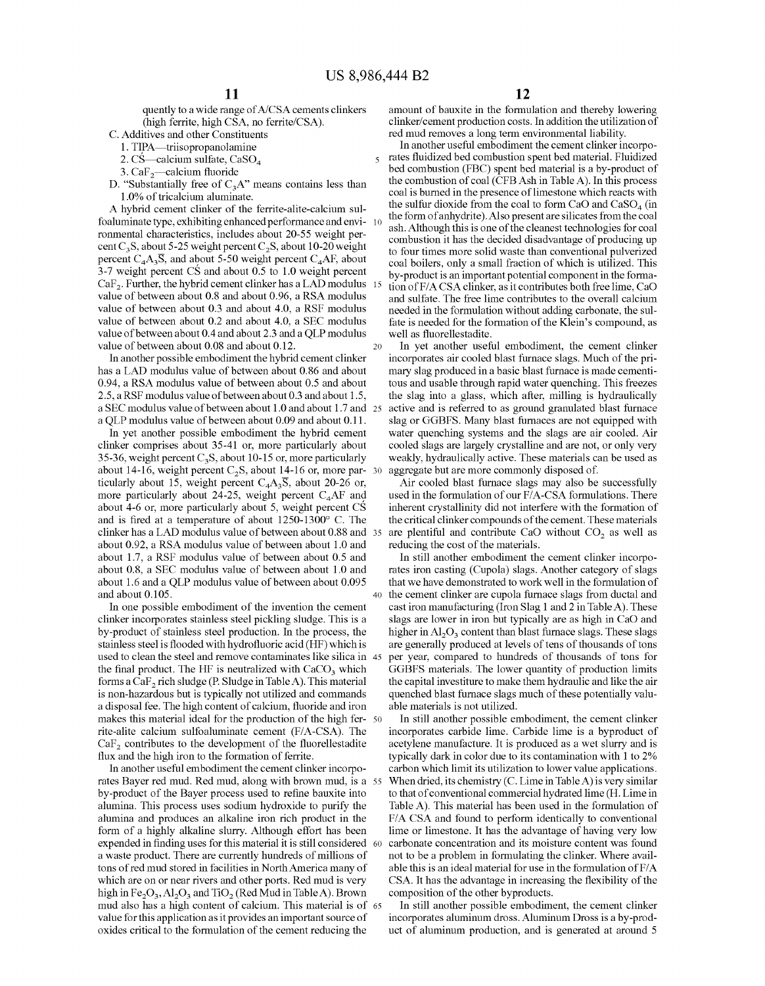quently to a wide range of A/CSA cements clinkers (high ferrite, high CSA, no ferrite/CSA).

- C. Additives and other Constituents
	-
	- 2. CS—calcium sulfate,  $CaSO<sub>4</sub>$
- 3.  $CaF<sub>2</sub>$ -calcium fluoride
- D. "Substantially free of  $C_3A$ " means contains less than 1.0% of tricalcium aluminate.

A hybrid cement clinker of the ferrite-alite-calcium sulfoaluminate type, exhibiting enhanced performance and environmental characteristics, includes about 20-55 weight percent C<sub>3</sub>S, about 5-25 weight percent C<sub>2</sub>S, about 10-20 weight percent  $C_4A_3\overline{S}$ , and about 5-50 weight percent  $C_4AF$ , about 3-7 weight percent CS and about 0.5 to 1.0 weight percent  $CaF<sub>2</sub>$ . Further, the hybrid cement clinker has a LAD modulus value of between about 0.8 and about 0.96, a RSA modulus value of between about 0.3 and about 4.0, a RSF modulus value of between about 0.2 and about 4.0, a SEC modulus value of between about 0.4 and about 2.3 and a QLP modulus value of between about 0.08 and about 0.12.

In another possible embodiment the hybrid cement clinker has a LAD modulus value of between about 0.86 and about 0.94, a RSA modulus value of between about 0.5 and about 2.5, a RSF modulus value of between about 0.3 and about 1.5, a SEC modulus value of between about 1.0 and about 1.7 and 25 a QLP modulus value of between about 0.09 and about 0.11.

In yet another possible embodiment the hybrid cement clinker comprises about 35-41 or, more particularly about 35-36, weight percent  $C_3S$ , about 10-15 or, more particularly about 14-16, weight percent  $C_2S$ , about 14-16 or, more particularly about 15, weight percent  $C_4A_3\overline{S}$ , about 20-26 or, more particularly about 24-25, weight percent  $C_4$ AF and about 4-6 or, more particularly about 5, weight percent CS and is fired at a temperature of about 1250-1300° C. The clinker has a LAD modulus value of between about 0.88 and 35 about 0.92, a RSA modulus value of between about 1.0 and about 1.7, a RSF modulus value of between about 0.5 and about 0.8, a SEC modulus value of between about 1.0 and about 1.6 and a QLP modulus value of between about 0.095 and about 0.105.

In one possible embodiment of the invention the cement clinker incorporates stainless steel pickling sludge. This is a by-product of stainless steel production. In the process, the stainless steel is flooded with hydrofluoric acid (HF) which is used to clean the steel and remove contaminates like silica in the final product. The HF is neutralized with  $CaCO<sub>3</sub>$  which forms a  $CaF$ , rich sludge (P. Sludge in Table A). This material is non-hazardous but is typically not utilized and commands a disposal fee. The high content of calcium, fluoride and iron able materials is not utilized. makes this material ideal for the production of the high fer- <sup>50</sup> rite-alite calcium sulfoaluminate cement (F/A-CSA). The  $CaF<sub>2</sub>$  contributes to the development of the fluorellestadite flux and the high iron to the formation of ferrite.

In another useful embodiment the cement clinker incorporates Bayer red mud. Red mud, along with brown mud, is a 55 by-product of the Bayer process used to refine bauxite into alumina. This process uses sodium hydroxide to purify the alumina and produces an alkaline iron rich product in the form of a highly alkaline slurry. Although effort has been expended in finding uses for this material it is still considered 60 a waste product. There are currently hundreds of millions of tons of red mud stored in facilities in North America many of which are on or near rivers and other ports. Red mud is very high in  $Fe<sub>2</sub>O<sub>3</sub>$ , Al<sub>2</sub>O<sub>3</sub> and TiO<sub>2</sub> (Red Mud in Table A). Brown mud also has a high content of calcium. This material is of 65 value for this application as it provides an important source of oxides critical to the formulation of the cement reducing the

amount of bauxite in the formulation and thereby lowering clinker/cement production costs. In addition the utilization of red mud removes a long term environmental liability.

1. TIPA—triisopropanolamine In another useful embodiment the cement clinker incorpo-5 rates fluidized bed combustion spent bed material. Fluidized bed combustion (FBC) spent bed material is a by-product of the combustion of coal (CFB Ash in Table A). In this process coal is burned in the presence of limestone which reacts with the sulfur dioxide from the coal to form CaO and  $CaSO<sub>4</sub>$  (in the form of anhydrite). Also present are silicates from the coal ash. Although this is one of the cleanest technologies for coal combustion it has the decided disadvantage of producing up to four times more solid waste than conventional pulverized coal boilers, only a small fraction of which is utilized. This by-product is an important potential component in the formation of F/A CSA clinker, as it contributes both free lime, CaO and sulfate. The free lime contributes to the overall calcium needed in the formulation without adding carbonate, the sulfate is needed for the formation of the Klein's compound, as well as fluorellestadite.

> In yet another useful embodiment, the cement clinker incorporates air cooled blast furnace slags. Much of the primary slag produced in a basic blast furnace is made cementitous and usable through rapid water quenching. This freezes the slag into a glass, which after, milling is hydraulically active and is referred to as ground granulated blast furnace slag or GGBFS. Many blast furnaces are not equipped with water quenching systems and the slags are air cooled. Air cooled slags are largely crystalline and are not, or only very weakly, hydraulically active. These materials can be used as aggregate but are more commonly disposed of.

> Air cooled blast furnace slags may also be successfully used in the formulation of our F/A-CSA formulations. There inherent crystallinity did not interfere with the formation of the critical clinker compounds of the cement. These materials are plentiful and contribute CaO without  $CO<sub>2</sub>$  as well as reducing the cost of the materials.

In still another embodiment the cement clinker incorporates iron casting (Cupola) slags. Another category of slags that we have demonstrated to work well in the formulation of 40 the cement clinker are cupola furnace slags from ductal and cast iron manufacturing (Iron Slag 1 and 2 in Table A). These slags are lower in iron but typically are as high in CaO and higher in  $\rm Al_2O_3$  content than blast furnace slags. These slags are generally produced at levels of tens of thousands of tons 45 per year, compared to hundreds of thousands of tons for GGBFS materials. The lower quantity of production limits the capital investiture to make them hydraulic and like the air quenched blast furnace slags much of these potentially valu-

In still another possible embodiment, the cement clinker incorporates carbide lime. Carbide lime is a byproduct of acetylene manufacture. It is produced as a wet slurry and is typically dark in color due to its contamination with 1 to 2% carbon which limit its utilization to lower value applications. When dried, its chemistry (C. Lime in Table A) is very similar to that of conventional commercial hydrated lime (H. Lime in Table A). This material has been used in the formulation of F/A CSA and found to perform identically to conventional lime or limestone. It has the advantage of having very low carbonate concentration and its moisture content was found not to be a problem in formulating the clinker. Where available this is an ideal material for use in the formulation of  $F/A$ CSA. It has the advantage in increasing the flexibility of the composition of the other byproducts.

In still another possible embodiment, the cement clinker incorporates aluminum dross. Aluminum Dross is a by-product of aluminum production, and is generated at around 5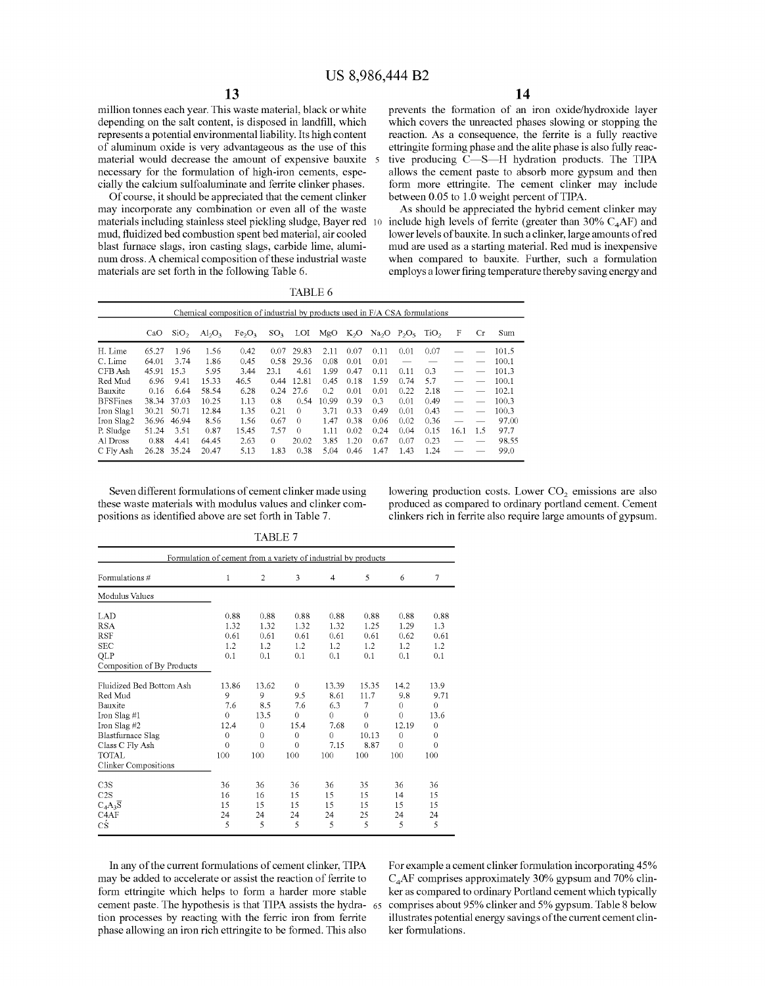million tonnes each year. This waste material, black or white depending on the salt content, is disposed in landfill, which represents a potential environmental liability. Its high content of aluminum oxide is very advantageous as the use of this material would decrease the amount of expensive bauxite necessary for the formulation of high-iron cements, especially the calcium sulfoaluminate and ferrite clinker phases.

Of course, it should be appreciated that the cement clinker may incorporate any combination or even all of the waste materials including stainless steel pickling sludge, Bayer red mud, fluidized bed combustion spent bed material, air cooled blast furnace slags, iron casting slags, carbide lime, aluminum dross. A chemical composition of these industrial waste materials are set forth in the following Table 6.

prevents the formation of an iron oxide/hydroxide layer which covers the unreacted phases slowing or stopping the reaction. As a consequence, the ferrite is a fully reactive ettringite forming phase and the alite phase is also fully reactive producing C-S-H hydration products. The TIPA allows the cement paste to absorb more gypsum and then form more ettringite. The cement clinker may include between 0.05 to 1.0 weight percent of TIPA.

As should be appreciated the hybrid cement clinker may 10 include high levels of ferrite (greater than  $30\%$  C<sub>4</sub>AF) and lower levels ofbauxite. In such a clinker, large amounts of red mud are used as a starting material. Red mud is inexpensive when compared to bauxite. Further, such a formulation employs a lower firing temperature thereby saving energy and

|                 | Chemical composition of industrial by products used in F/A CSA formulations |                  |                         |                                |                 |          |       |        |      |                                |                  |      |           |       |
|-----------------|-----------------------------------------------------------------------------|------------------|-------------------------|--------------------------------|-----------------|----------|-------|--------|------|--------------------------------|------------------|------|-----------|-------|
|                 | CaO                                                                         | SiO <sub>2</sub> | $\text{Al}_2\text{O}_3$ | Fe <sub>2</sub> O <sub>3</sub> | SO <sub>2</sub> | LOI      | MgO   | $K_2O$ |      | Na <sub>2</sub> O <sub>5</sub> | TiO <sub>2</sub> | F    | <b>Cr</b> | Sum   |
| H. Lime         | 65.27                                                                       | 1.96             | 1.56                    | 0.42                           | 0.07            | 29.83    | 2.11  | 0.07   | 0.11 | 0.01                           | 0.07             |      |           | 101.5 |
| C. Lime         | 64.01                                                                       | 3.74             | 1.86                    | 0.45                           | 0.58            | 29.36    | 0.08  | 0.01   | 0.01 |                                |                  |      |           | 100.1 |
| CFB Ash         | 45.91                                                                       | 15.3             | 5.95                    | 3.44                           | 23.1            | 4.61     | 1.99  | 0.47   | 0.11 | 0.11                           | 0.3              |      |           | 101.3 |
| Red Mud         | 6.96                                                                        | 9.41             | 15.33                   | 46.5                           | 0.44            | 12.81    | 0.45  | 0.18   | 1.59 | 0.74                           | 5.7              |      |           | 100.1 |
| Bauxite         | 0.16                                                                        | 6.64             | 58.54                   | 6.28                           | 0.24            | 27.6     | 0.2   | 0.01   | 0.01 | 0.22                           | 2.18             |      |           | 102.1 |
| <b>BFSFines</b> | 38.34                                                                       | 37.03            | 10.25                   | 1.13                           | 0.8             | 0.54     | 10.99 | 0.39   | 0.3  | 0.01                           | 0.49             |      |           | 100.3 |
| Iron Slag1      | 30.21                                                                       | 50.71            | 12.84                   | 1.35                           | 0.21            | $\Omega$ | 3.71  | 0.33   | 0.49 | 0.01                           | 0.43             |      |           | 100.3 |
| Iron Slag2      | 36.96                                                                       | 46.94            | 8.56                    | 1.56                           | 0.67            | $\Omega$ | 1.47  | 0.38   | 0.06 | 0.02                           | 0.36             |      |           | 97.00 |
| P. Sludge       | 51.24                                                                       | 3.51             | 0.87                    | 15.45                          | 7.57            | $\Omega$ | 1.11  | 0.02   | 0.24 | 0.04                           | 0.15             | 16.1 | 1.5       | 97.7  |
| Al Dross        | 0.88                                                                        | 4.41             | 64.45                   | 2.63                           | $\Omega$        | 20.02    | 3.85  | 1.20   | 0.67 | 0.07                           | 0.23             |      | --        | 98.55 |
| C Fly Ash       | 26.28                                                                       | 35.24            | 20.47                   | 5.13                           | 1.83            | 0.38     | 5.04  | 0.46   | 1.47 | 1.43                           | 1.24             |      |           | 99.0  |

Seven different formulations of cement clinker made using these waste materials with modulus values and clinker compositions as identified above are set forth in Table 7.

lowering production costs. Lower  $CO<sub>2</sub>$  emissions are also produced as compared to ordinary portland cement. Cement clinkers rich in ferrite also require large amounts of gypsum.

|                                                                | TABLE 7  |                |              |          |          |              |          |  |
|----------------------------------------------------------------|----------|----------------|--------------|----------|----------|--------------|----------|--|
| Formulation of cement from a variety of industrial by products |          |                |              |          |          |              |          |  |
| Formulations #                                                 | 1        | $\overline{2}$ | 3            | 4        | 5        | 6            | 7        |  |
| Modulus Values                                                 |          |                |              |          |          |              |          |  |
| LAD                                                            | 0.88     | 0.88           | 0.88         | 0.88     | 0.88     | 0.88         | 0.88     |  |
| <b>RSA</b>                                                     | 1.32     | 1.32           | 1.32         | 1.32     | 1.25     | 1.29         | 1.3      |  |
| <b>RSF</b>                                                     | 0.61     | 0.61           | 0.61         | 0.61     | 0.61     | 0.62         | 0.61     |  |
| <b>SEC</b>                                                     | 1.2      | 1.2            | 1.2          | 1.2      | 1.2      | 1.2          | 1.2      |  |
| QLP                                                            | 0.1      | 0.1            | 0.1          | 0.1      | 0.1      | 0.1          | 0.1      |  |
| Composition of By Products                                     |          |                |              |          |          |              |          |  |
| Fluidized Bed Bottom Ash                                       | 13.86    | 13.62          | 0            | 13.39    | 15.35    | 14.2         | 13.9     |  |
| Red Mud                                                        | 9        | 9              | 9.5          | 8.61     | 11.7     | 9.8          | 9.71     |  |
| Bauxite                                                        | 7.6      | 8.5            | 7.6          | 6.3      | 7        | $\theta$     | $\theta$ |  |
| Iron Slag #1                                                   | $\theta$ | 13.5           | $\mathbf{0}$ | $\theta$ | $\theta$ | $\mathbf{0}$ | 13.6     |  |
| Iron Slag #2                                                   | 12.4     | $\mathbf{0}$   | 15.4         | 7.68     | $\Omega$ | 12.19        | $\theta$ |  |
| <b>Blastfurnace Slag</b>                                       | $\theta$ | $\theta$       | $\theta$     | $\Omega$ | 10.13    | $\theta$     | $\Omega$ |  |
| Class C Fly Ash                                                | $\theta$ | $\theta$       | 0            | 7.15     | 8.87     | $\theta$     | $\theta$ |  |
| <b>TOTAL</b>                                                   | 100      | 100            | 100          | 100      | 100      | 100          | 100      |  |
| <b>Clinker Compositions</b>                                    |          |                |              |          |          |              |          |  |
| C3S                                                            | 36       | 36             | 36           | 36       | 35       | 36           | 36       |  |
| C2S                                                            | 16       | 16             | 15           | 15       | 15       | 14           | 15       |  |
| $C_4A_3\overline{S}$                                           | 15       | 15             | 15           | 15       | 15       | 15           | 15       |  |
| C <sub>4</sub> AF                                              | 24       | 24             | 24           | 24       | 25       | 24           | 24       |  |

5

5

5

 $\overline{5}$ 

 $\sqrt{5}$ 

 $\sqrt{5}$ 

In any of the current formulations of cement clinker, TIPA may be added to accelerate or assist the reaction of ferrite to form ettringite which helps to form a harder more stable cement paste. The hypothesis is that TIPA assists the hydra- 65 tion processes by reacting with the ferric iron from ferrite phase allowing an iron rich ettringite to be formed. This also

5

cS

For example a cement clinker formulation incorporating 45% C4AF comprises approximately 30% gypsum and 70% clinker as compared to ordinary Portland cement which typically comprises about 95% clinker and 5% gypsum. Table 8 below illustrates potential energy savings of the current cement clinker formulations.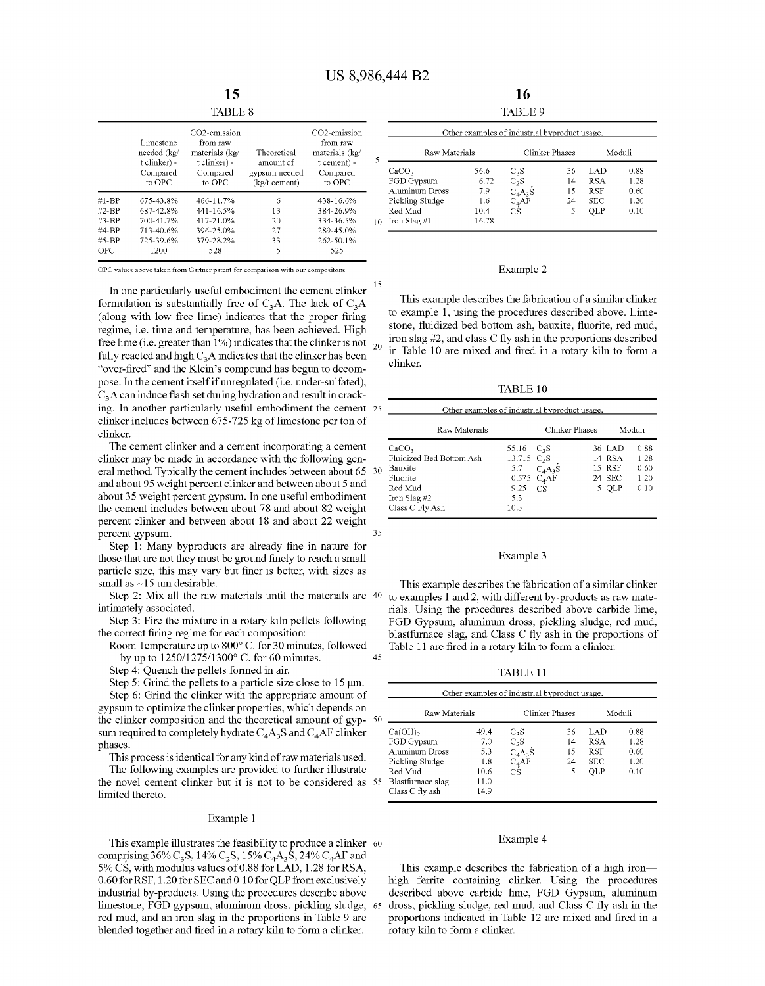35

|           | Limestone<br>needed (kg/<br>t clinker) -<br>Compared<br>to OPC | CO <sub>2</sub> -emission<br>from raw<br>materials (kg/<br>t clinker) -<br>Compared<br>to OPC | Theoretical<br>amount of<br>gypsum needed<br>(kg/t cement) | CO <sub>2</sub> -emission<br>from raw<br>materials (kg/<br>t cement) -<br>Compared<br>to OPC | 5  |
|-----------|----------------------------------------------------------------|-----------------------------------------------------------------------------------------------|------------------------------------------------------------|----------------------------------------------------------------------------------------------|----|
| $#1 - BP$ | 675-43.8%                                                      | 466-11.7%                                                                                     | 6                                                          | 438-16.6%                                                                                    |    |
| $#2-BP$   | 687-42.8%                                                      | 441-16.5%                                                                                     | 13                                                         | 384-26.9%                                                                                    |    |
| #3-BP     | 700-41.7%                                                      | 417-21.0%                                                                                     | 20                                                         | 334-36.5%                                                                                    | 10 |
| #4-BP     | 713-40.6%                                                      | 396-25.0%                                                                                     | 27                                                         | 289-45.0%                                                                                    |    |
| #5-BP     | 725-39.6%                                                      | 379-28.2%                                                                                     | 33                                                         | 262-50.1%                                                                                    |    |
| OPC       | 1200                                                           | 528                                                                                           | 5                                                          | 525                                                                                          |    |

OPC values above taken from Gartner patent for comparison with our compositons

In one particularly useful embodiment the cement clinker formulation is substantially free of  $C_3A$ . The lack of  $C_3A$ (along with low free lime) indicates that the proper firing regime, i.e. time and temperature, has been achieved. High free lime (i.e. greater than 1%) indicates that the clinker is not  $_{20}$ fully reacted and high  $C_3A$  indicates that the clinker has been "over-fired" and the Klein's compound has begun to decompose. In the cement itself if unregulated (i.e. under-sulfated),  $C<sub>3</sub>A$  can induce flash set during hydration and result in cracking. In another particularly useful embodiment the cement 25 clinker includes between 675-725 kg of limestone per ton of clinker.

The cement clinker and a cement incorporating a cement clinker may be made in accordance with the following general method. Typically the cement includes between about 65 30 and about 95 weight percent clinker and between about 5 and about 35 weight percent gypsum. In one useful embodiment the cement includes between about 78 and about 82 weight percent clinker and between about 18 and about 22 weight percent gypsum.

Step 1: Many byproducts are already fine in nature for those that are not they must be ground finely to reach a small particle size, this may vary but finer is better, with sizes as small as  $\sim$ 15 um desirable.

Step 2: Mix all the raw materials until the materials are 40 intimately associated.

Step 3: Fire the mixture in a rotary kiln pellets following the correct firing regime for each composition:

Room Temperature up to 800° C. for 30 minutes, followed by up to 1250/1275/1300° C. for 60 minutes. 45

Step 4: Quench the pellets formed in air.

Step 5: Grind the pellets to a particle size close to  $15 \mu m$ .

Step 6: Grind the clinker with the appropriate amount of gypsum to optimize the clinker properties, which depends on the clinker composition and the theoretical amount of gyp-50 sum required to completely hydrate  $C_4A_3\overline{S}$  and  $C_4AF$  clinker phases.

This process is identical for any kind of raw materials used.

The following examples are provided to further illustrate the novel cement clinker but it is not to be considered as 55 limited thereto.

#### Example 1

This example illustrates the feasibility to produce a clinker  $60$ comprising 36% C<sub>3</sub>S, 14% C<sub>2</sub>S, 15% C<sub>4</sub>A<sub>3</sub>S, 24% C<sub>4</sub>AF and 5% CS, with modulus values of0.88 for LAD, 1.28 for RSA, 0.60 for RSF, 1.20 for SEC and 0.10 for QLP from exclusively industrial by-products. Using the procedures describe above limestone, FGD gypsum, aluminum dross, pickling sludge, 65 red mud, and an iron slag in the proportions in Table 9 are blended together and fired in a rotary kiln to form a clinker.

16 TABLE 9

| Other examples of industrial byproduct usage. |       |                          |                |            |        |  |  |
|-----------------------------------------------|-------|--------------------------|----------------|------------|--------|--|--|
| Raw Materials                                 |       |                          | Clinker Phases |            | Moduli |  |  |
| CaCO <sub>3</sub>                             | 56.6  | $C_3S$                   | 36             | LAD        | 0.88   |  |  |
| FGD Gypsum                                    | 6.72  | $C_2S$                   | 14             | <b>RSA</b> | 1.28   |  |  |
| Aluminum Dross                                | 7.9   | $C_4A_3S$                | 15             | <b>RSF</b> | 0.60   |  |  |
| Pickling Sludge                               | 1.6   | $C_4\overrightarrow{AF}$ | 24             | <b>SEC</b> | 1.20   |  |  |
| Red Mud                                       | 10.4  | CS                       | 5              | OLP        | 0.10   |  |  |
| Iron Slag $#1$                                | 16.78 |                          |                |            |        |  |  |

#### Example 2

This example describes the fabrication of a similar clinker to example 1, using the procedures described above. Limestone, fluidized bed bottom ash, bauxite, fluorite, red mud, iron slag #2, and class C fly ash in the proportions described in Table 10 are mixed and fired in a rotary kiln to form a clinker.

TABLE 10

| Other examples of industrial byproduct usage. |               |                        |        |        |
|-----------------------------------------------|---------------|------------------------|--------|--------|
| Raw Materials                                 |               | Clinker Phases         |        | Moduli |
| CaCO <sub>3</sub>                             | 55.16 $C_3S$  |                        | 36 LAD | 0.88   |
| Fluidized Bed Bottom Ash                      | 13.715 $C_2S$ |                        | 14 RSA | 1.28   |
| Bauxite                                       |               | 5.7 $C4A3S$            | 15 RSF | 0.60   |
| Fluorite                                      |               | $0.575\;\;{\rm C_4AF}$ | 24 SEC | 1.20   |
| Red Mud                                       | 9.25          | CS                     | 5 OLP  | 0.10   |
| Iron Slag #2                                  | 5.3           |                        |        |        |
| Class C Fly Ash                               | 10.3          |                        |        |        |

#### Example 3

This example describes the fabrication of a similar clinker to examples 1 and 2, with different by-products as raw materials. Using the procedures described above carbide lime, FGD Gypsum, aluminum dross, pickling sludge, red mud, blastfumace slag, and Class C fly ash in the proportions of Table 11 are fired in a rotary kiln to form a clinker.

TABLE 11

| Other examples of industrial byproduct usage.                                                                      |                                                   |                                                                 |                           |                                                      |                                      |  |  |
|--------------------------------------------------------------------------------------------------------------------|---------------------------------------------------|-----------------------------------------------------------------|---------------------------|------------------------------------------------------|--------------------------------------|--|--|
| Raw Materials                                                                                                      |                                                   |                                                                 | Clinker Phases            |                                                      | Moduli                               |  |  |
| $Ca(OH)_{2}$<br>FGD Gypsum<br>Aluminum Dross<br>Pickling Sludge<br>Red Mud<br>Blastfurnace slag<br>Class C fly ash | 49.4<br>7.0<br>5.3<br>1.8<br>10.6<br>11.0<br>14.9 | $C_3S$<br>$C_2S$<br>$C_4A_3S$<br>$C_4\overrightarrow{AF}$<br>СŜ | 36<br>14<br>15<br>24<br>5 | LAD<br><b>RSA</b><br><b>RSF</b><br><b>SEC</b><br>OLP | 0.88<br>1.28<br>0.60<br>1.20<br>0.10 |  |  |

#### Example 4

This example describes the fabrication of a high ironhigh ferrite containing clinker. Using the procedures described above carbide lime, FGD Gypsum, aluminum dross, pickling sludge, red mud, and Class C fly ash in the proportions indicated in Table 12 are mixed and fired in a rotary kiln to form a clinker.